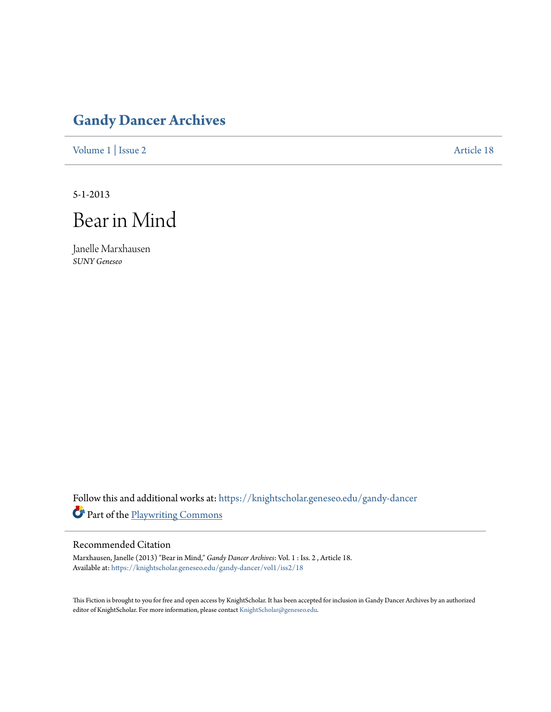## **[Gandy Dancer Archives](https://knightscholar.geneseo.edu/gandy-dancer?utm_source=knightscholar.geneseo.edu%2Fgandy-dancer%2Fvol1%2Fiss2%2F18&utm_medium=PDF&utm_campaign=PDFCoverPages)**

[Volume 1](https://knightscholar.geneseo.edu/gandy-dancer/vol1?utm_source=knightscholar.geneseo.edu%2Fgandy-dancer%2Fvol1%2Fiss2%2F18&utm_medium=PDF&utm_campaign=PDFCoverPages) | [Issue 2](https://knightscholar.geneseo.edu/gandy-dancer/vol1/iss2?utm_source=knightscholar.geneseo.edu%2Fgandy-dancer%2Fvol1%2Fiss2%2F18&utm_medium=PDF&utm_campaign=PDFCoverPages) [Article 18](https://knightscholar.geneseo.edu/gandy-dancer/vol1/iss2/18?utm_source=knightscholar.geneseo.edu%2Fgandy-dancer%2Fvol1%2Fiss2%2F18&utm_medium=PDF&utm_campaign=PDFCoverPages)

5-1-2013

Bear in Mind

Janelle Marxhausen *SUNY Geneseo*

Follow this and additional works at: [https://knightscholar.geneseo.edu/gandy-dancer](https://knightscholar.geneseo.edu/gandy-dancer?utm_source=knightscholar.geneseo.edu%2Fgandy-dancer%2Fvol1%2Fiss2%2F18&utm_medium=PDF&utm_campaign=PDFCoverPages) Part of the [Playwriting Commons](http://network.bepress.com/hgg/discipline/557?utm_source=knightscholar.geneseo.edu%2Fgandy-dancer%2Fvol1%2Fiss2%2F18&utm_medium=PDF&utm_campaign=PDFCoverPages)

## Recommended Citation

Marxhausen, Janelle (2013) "Bear in Mind," *Gandy Dancer Archives*: Vol. 1 : Iss. 2 , Article 18. Available at: [https://knightscholar.geneseo.edu/gandy-dancer/vol1/iss2/18](https://knightscholar.geneseo.edu/gandy-dancer/vol1/iss2/18?utm_source=knightscholar.geneseo.edu%2Fgandy-dancer%2Fvol1%2Fiss2%2F18&utm_medium=PDF&utm_campaign=PDFCoverPages)

This Fiction is brought to you for free and open access by KnightScholar. It has been accepted for inclusion in Gandy Dancer Archives by an authorized editor of KnightScholar. For more information, please contact [KnightScholar@geneseo.edu.](mailto:KnightScholar@geneseo.edu)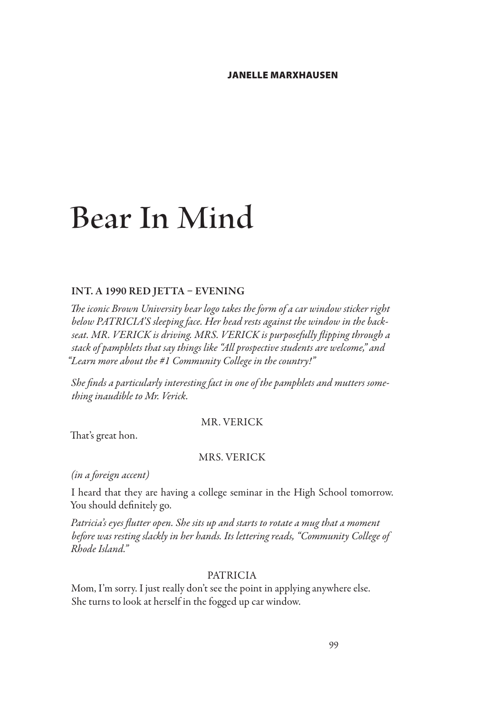# **Bear In Mind**

#### INT. A 1990 RED JETTA – EVENING

*The iconic Brown University bear logo takes the form of a car window sticker right below PATRICIA'S sleeping face. Her head rests against the window in the backseat. MR. VERICK is driving. MRS. VERICK is purposefully flipping through a stack of pamphlets that say things like "All prospective students are welcome," and "Learn more about the #1 Community College in the country!"*

*She finds a particularly interesting fact in one of the pamphlets and mutters something inaudible to Mr. Verick.*

#### MR. VERICK

That's great hon.

## MRS. VERICK

*(in a foreign accent)*

I heard that they are having a college seminar in the High School tomorrow. You should definitely go.

*Patricia's eyes flutter open. She sits up and starts to rotate a mug that a moment before was resting slackly in her hands. Its lettering reads, "Community College of Rhode Island."*

#### PATRICIA

Mom, I'm sorry. I just really don't see the point in applying anywhere else. She turns to look at herself in the fogged up car window.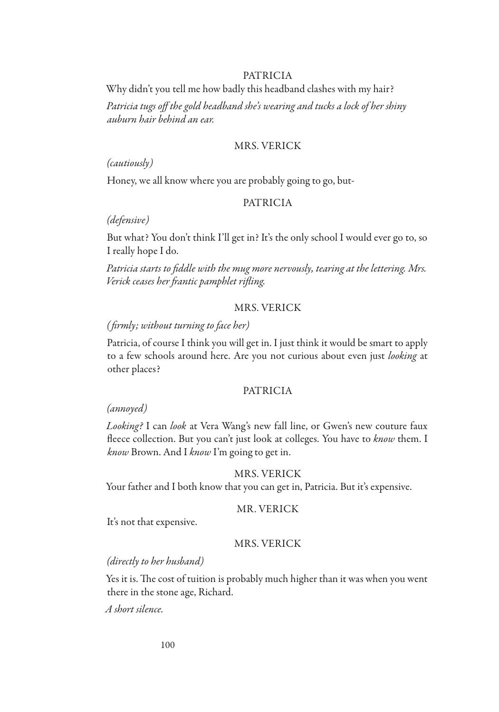Why didn't you tell me how badly this headband clashes with my hair?

*Patricia tugs off the gold headband she's wearing and tucks a lock of her shiny auburn hair behind an ear.*

## MRS. VERICK

*(cautiously)*

Honey, we all know where you are probably going to go, but-

#### PATRICIA

*(defensive)*

But what? You don't think I'll get in? It's the only school I would ever go to, so I really hope I do.

*Patricia starts to fiddle with the mug more nervously, tearing at the lettering. Mrs. Verick ceases her frantic pamphlet rifling.*

## MRS. VERICK

#### *( firmly; without turning to face her)*

Patricia, of course I think you will get in. I just think it would be smart to apply to a few schools around here. Are you not curious about even just *looking* at other places?

## PATRICIA

#### *(annoyed)*

*Looking?* I can *look* at Vera Wang's new fall line, or Gwen's new couture faux fleece collection. But you can't just look at colleges. You have to *know* them. I *know* Brown. And I *know* I'm going to get in.

#### MRS. VERICK

Your father and I both know that you can get in, Patricia. But it's expensive.

#### MR. VERICK

It's not that expensive.

#### MRS. VERICK

#### *(directly to her husband)*

Yes it is. The cost of tuition is probably much higher than it was when you went there in the stone age, Richard.

*A short silence.*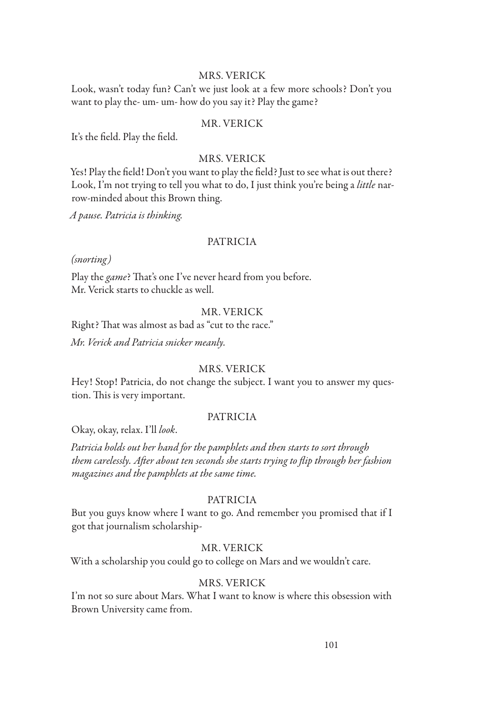## MRS. VERICK

Look, wasn't today fun? Can't we just look at a few more schools? Don't you want to play the- um- um- how do you say it? Play the game?

## MR. VERICK

It's the field. Play the field.

## MRS. VERICK

Yes! Play the field! Don't you want to play the field? Just to see what is out there? Look, I'm not trying to tell you what to do, I just think you're being a *little* narrow-minded about this Brown thing.

*A pause. Patricia is thinking.*

#### PATRICIA

*(snorting)*

Play the *game*? That's one I've never heard from you before. Mr. Verick starts to chuckle as well.

## MR. VERICK

Right? That was almost as bad as "cut to the race." *Mr. Verick and Patricia snicker meanly.*

#### MRS. VERICK

Hey! Stop! Patricia, do not change the subject. I want you to answer my question. This is very important.

## PATRICIA

Okay, okay, relax. I'll *look*.

*Patricia holds out her hand for the pamphlets and then starts to sort through them carelessly. After about ten seconds she starts trying to flip through her fashion magazines and the pamphlets at the same time.*

#### PATRICIA

But you guys know where I want to go. And remember you promised that if I got that journalism scholarship-

## MR. VERICK

With a scholarship you could go to college on Mars and we wouldn't care.

## MRS. VERICK

I'm not so sure about Mars. What I want to know is where this obsession with Brown University came from.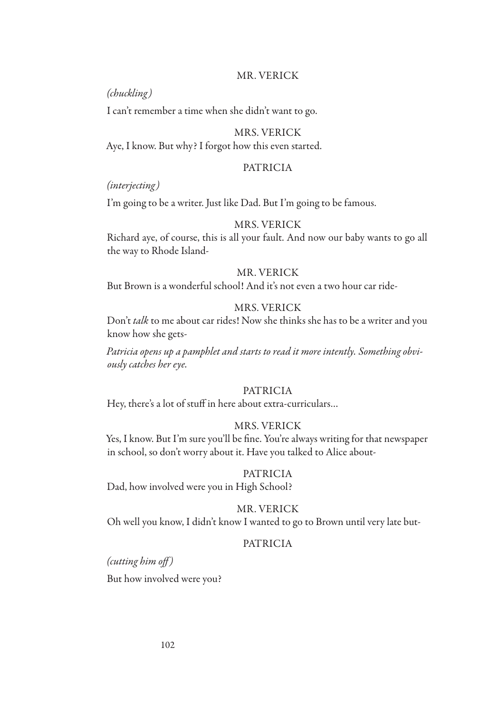## MR. VERICK

*(chuckling)*

I can't remember a time when she didn't want to go.

## MRS. VERICK

Aye, I know. But why? I forgot how this even started.

#### PATRICIA

*(interjecting)*

I'm going to be a writer. Just like Dad. But I'm going to be famous.

#### MRS. VERICK

Richard aye, of course, this is all your fault. And now our baby wants to go all the way to Rhode Island-

## MR. VERICK

But Brown is a wonderful school! And it's not even a two hour car ride-

## MRS. VERICK

Don't *talk* to me about car rides! Now she thinks she has to be a writer and you know how she gets-

*Patricia opens up a pamphlet and starts to read it more intently. Something obviously catches her eye.*

## PATRICIA

Hey, there's a lot of stuff in here about extra-curriculars…

#### MRS. VERICK

Yes, I know. But I'm sure you'll be fine. You're always writing for that newspaper in school, so don't worry about it. Have you talked to Alice about-

#### PATRICIA

Dad, how involved were you in High School?

#### MR. VERICK

Oh well you know, I didn't know I wanted to go to Brown until very late but-

#### PATRICIA

*(cutting him off )* But how involved were you?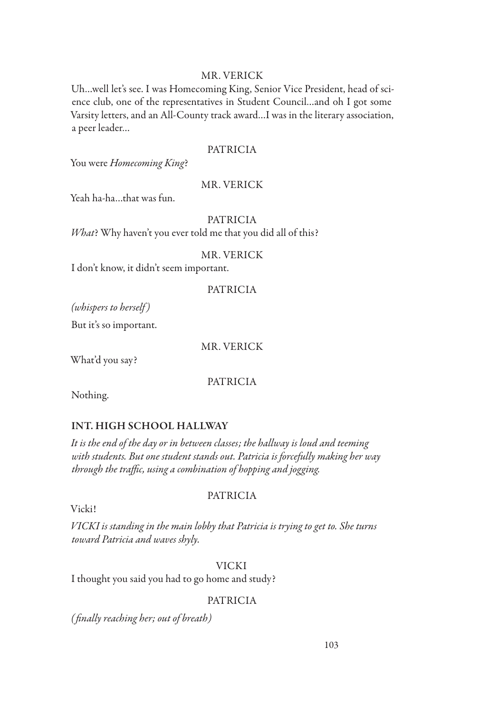## MR. VERICK

Uh…well let's see. I was Homecoming King, Senior Vice President, head of science club, one of the representatives in Student Council…and oh I got some Varsity letters, and an All-County track award…I was in the literary association, a peer leader…

## PATRICIA

You were *Homecoming King*?

## MR. VERICK

Yeah ha-ha…that was fun.

## PATRICIA

*What*? Why haven't you ever told me that you did all of this?

## MR. VERICK

I don't know, it didn't seem important.

## PATRICIA

*(whispers to herself )*

But it's so important.

MR. VERICK

What'd you say?

PATRICIA

Nothing.

## INT. HIGH SCHOOL HALLWAY

*It is the end of the day or in between classes; the hallway is loud and teeming with students. But one student stands out. Patricia is forcefully making her way through the traffic, using a combination of hopping and jogging.*

## PATRICIA

Vicki!

*VICKI is standing in the main lobby that Patricia is trying to get to. She turns toward Patricia and waves shyly.*

VICKI

I thought you said you had to go home and study?

## PATRICIA

*( finally reaching her; out of breath)*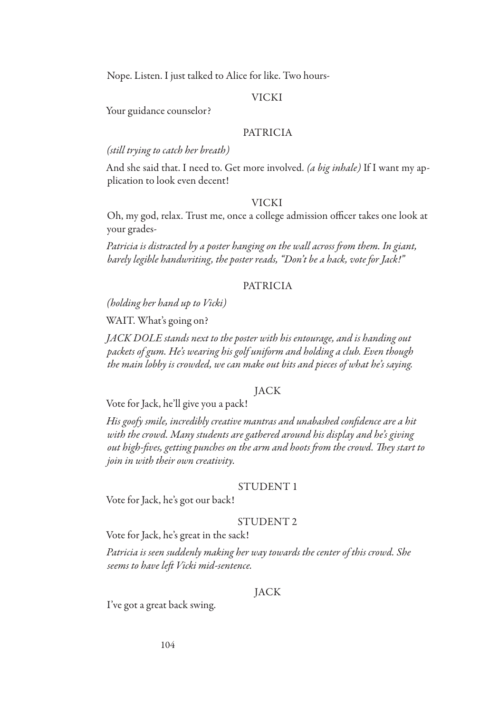Nope. Listen. I just talked to Alice for like. Two hours-

#### VICKI

Your guidance counselor?

## PATRICIA

*(still trying to catch her breath)*

And she said that. I need to. Get more involved. *(a big inhale)* If I want my application to look even decent!

#### VICKI

Oh, my god, relax. Trust me, once a college admission officer takes one look at your grades-

*Patricia is distracted by a poster hanging on the wall across from them. In giant, barely legible handwriting, the poster reads, "Don't be a hack, vote for Jack!"*

#### PATRICIA

*(holding her hand up to Vicki)*

WAIT. What's going on?

*JACK DOLE stands next to the poster with his entourage, and is handing out packets of gum. He's wearing his golf uniform and holding a club. Even though the main lobby is crowded, we can make out bits and pieces of what he's saying.*

## **JACK**

Vote for Jack, he'll give you a pack!

*His goofy smile, incredibly creative mantras and unabashed confidence are a hit with the crowd. Many students are gathered around his display and he's giving out high-fives, getting punches on the arm and hoots from the crowd. They start to join in with their own creativity.*

#### STUDENT 1

Vote for Jack, he's got our back!

#### STUDENT 2

Vote for Jack, he's great in the sack!

*Patricia is seen suddenly making her way towards the center of this crowd. She seems to have left Vicki mid-sentence.*

## JACK

I've got a great back swing.

104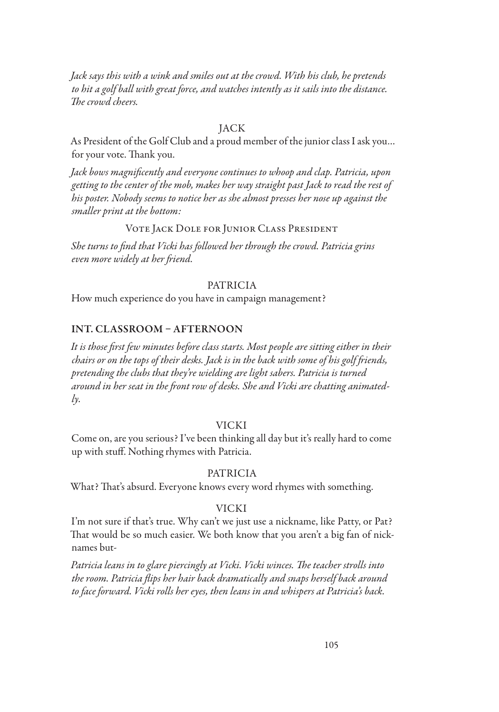*Jack says this with a wink and smiles out at the crowd. With his club, he pretends to hit a golf ball with great force, and watches intently as it sails into the distance. The crowd cheers.*

#### JACK

As President of the Golf Club and a proud member of the junior class I ask you… for your vote. Thank you.

*Jack bows magnificently and everyone continues to whoop and clap. Patricia, upon getting to the center of the mob, makes her way straight past Jack to read the rest of his poster. Nobody seems to notice her as she almost presses her nose up against the smaller print at the bottom:*

#### Vote Jack Dole for Junior Class President

*She turns to find that Vicki has followed her through the crowd. Patricia grins even more widely at her friend.*

#### PATRICIA

How much experience do you have in campaign management?

#### INT. CLASSROOM – AFTERNOON

*It is those first few minutes before class starts. Most people are sitting either in their chairs or on the tops of their desks. Jack is in the back with some of his golf friends, pretending the clubs that they're wielding are light sabers. Patricia is turned around in her seat in the front row of desks. She and Vicki are chatting animatedly.*

#### VICKI

Come on, are you serious? I've been thinking all day but it's really hard to come up with stuff. Nothing rhymes with Patricia.

#### PATRICIA

What? That's absurd. Everyone knows every word rhymes with something.

#### VICKI

I'm not sure if that's true. Why can't we just use a nickname, like Patty, or Pat? That would be so much easier. We both know that you aren't a big fan of nicknames but-

*Patricia leans in to glare piercingly at Vicki. Vicki winces. The teacher strolls into the room. Patricia flips her hair back dramatically and snaps herself back around to face forward. Vicki rolls her eyes, then leans in and whispers at Patricia's back.*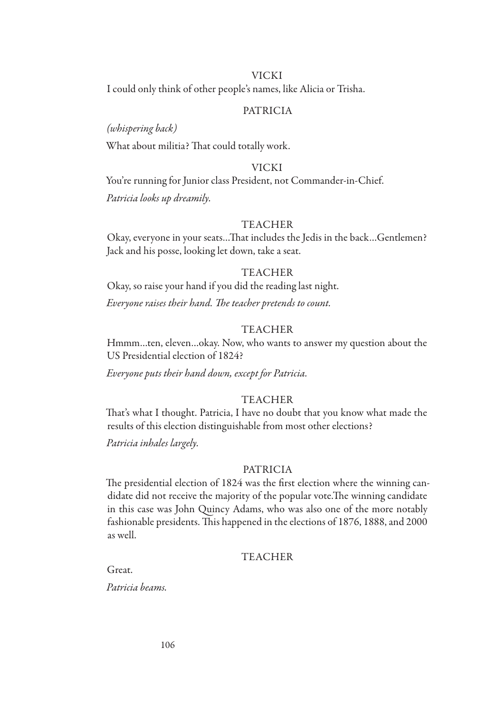#### VICKI

I could only think of other people's names, like Alicia or Trisha.

## PATRICIA

#### *(whispering back)*

What about militia? That could totally work.

#### VICKI

You're running for Junior class President, not Commander-in-Chief. *Patricia looks up dreamily.*

## TEACHER

Okay, everyone in your seats…That includes the Jedis in the back…Gentlemen? Jack and his posse, looking let down, take a seat.

#### TEACHER

Okay, so raise your hand if you did the reading last night. *Everyone raises their hand. The teacher pretends to count.*

#### TEACHER

Hmmm…ten, eleven…okay. Now, who wants to answer my question about the US Presidential election of 1824?

*Everyone puts their hand down, except for Patricia.*

#### **TEACHER**

That's what I thought. Patricia, I have no doubt that you know what made the results of this election distinguishable from most other elections?

*Patricia inhales largely.*

#### PATRICIA

The presidential election of 1824 was the first election where the winning candidate did not receive the majority of the popular vote.The winning candidate in this case was John Quincy Adams, who was also one of the more notably fashionable presidents. This happened in the elections of 1876, 1888, and 2000 as well.

#### TEACHER

Great.

*Patricia beams.*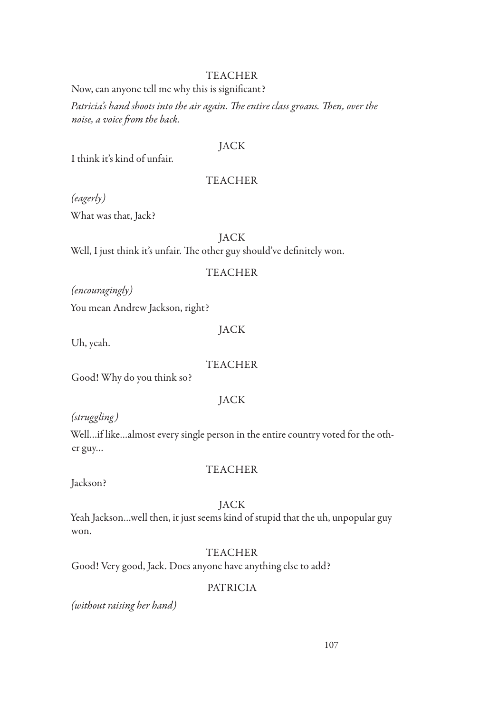## TEACHER

Now, can anyone tell me why this is significant?

*Patricia's hand shoots into the air again. The entire class groans. Then, over the noise, a voice from the back.*

## JACK

I think it's kind of unfair.

## TEACHER

*(eagerly)*

What was that, Jack?

JACK

Well, I just think it's unfair. The other guy should've definitely won.

## TEACHER

*(encouragingly)*

You mean Andrew Jackson, right?

## JACK

Uh, yeah.

## TEACHER

Good! Why do you think so?

## **JACK**

*(struggling)*

Well…if like…almost every single person in the entire country voted for the other guy…

## TEACHER

Jackson?

## JACK

Yeah Jackson…well then, it just seems kind of stupid that the uh, unpopular guy won.

## TEACHER

Good! Very good, Jack. Does anyone have anything else to add?

## PATRICIA

*(without raising her hand)*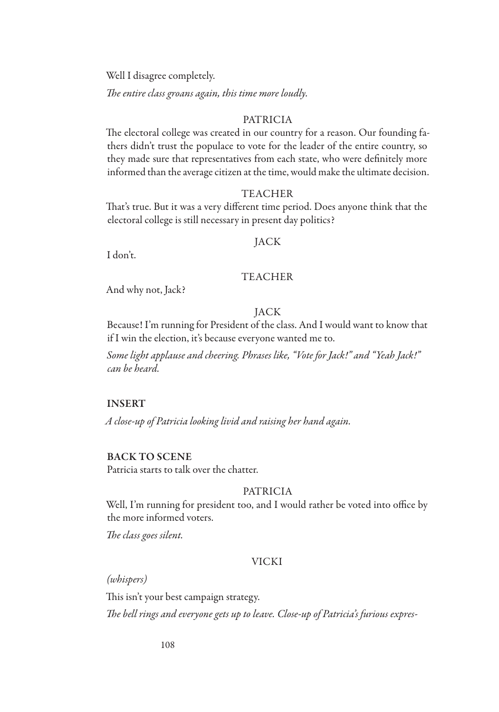Well I disagree completely.

*The entire class groans again, this time more loudly.*

## PATRICIA

The electoral college was created in our country for a reason. Our founding fathers didn't trust the populace to vote for the leader of the entire country, so they made sure that representatives from each state, who were definitely more informed than the average citizen at the time, would make the ultimate decision.

#### TEACHER

That's true. But it was a very different time period. Does anyone think that the electoral college is still necessary in present day politics?

#### JACK

I don't.

## TEACHER

And why not, Jack?

## JACK

Because! I'm running for President of the class. And I would want to know that if I win the election, it's because everyone wanted me to.

*Some light applause and cheering. Phrases like, "Vote for Jack!" and "Yeah Jack!" can be heard.*

## INSERT

*A close-up of Patricia looking livid and raising her hand again.*

#### BACK TO SCENE

Patricia starts to talk over the chatter.

## PATRICIA

Well, I'm running for president too, and I would rather be voted into office by the more informed voters.

*The class goes silent.*

## VICKI

*(whispers)*

This isn't your best campaign strategy.

*The bell rings and everyone gets up to leave. Close-up of Patricia's furious expres-*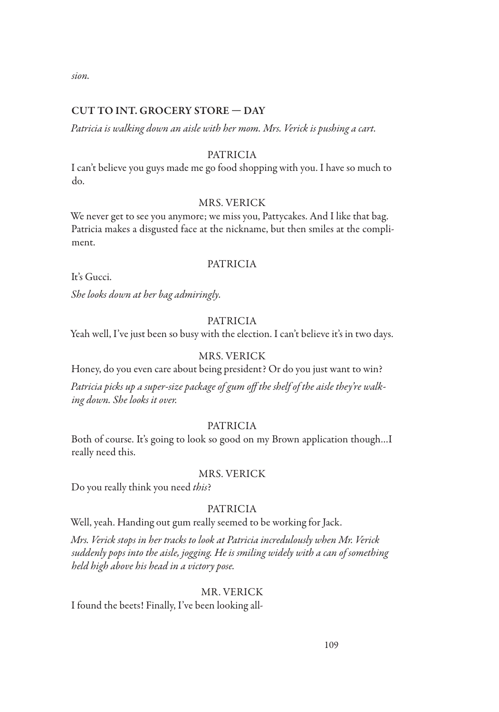*sion.*

## CUT TO INT. GROCERY STORE — DAY

*Patricia is walking down an aisle with her mom. Mrs. Verick is pushing a cart.*

#### PATRICIA

I can't believe you guys made me go food shopping with you. I have so much to do.

## MRS. VERICK

We never get to see you anymore; we miss you, Pattycakes. And I like that bag. Patricia makes a disgusted face at the nickname, but then smiles at the compliment.

## PATRICIA

It's Gucci.

*She looks down at her bag admiringly.*

#### PATRICIA

Yeah well, I've just been so busy with the election. I can't believe it's in two days.

#### MRS. VERICK

Honey, do you even care about being president? Or do you just want to win?

*Patricia picks up a super-size package of gum off the shelf of the aisle they're walking down. She looks it over.*

#### PATRICIA

Both of course. It's going to look so good on my Brown application though…I really need this.

## MRS. VERICK

Do you really think you need *this*?

## PATRICIA

Well, yeah. Handing out gum really seemed to be working for Jack.

*Mrs. Verick stops in her tracks to look at Patricia incredulously when Mr. Verick suddenly pops into the aisle, jogging. He is smiling widely with a can of something held high above his head in a victory pose.*

## MR. VERICK

I found the beets! Finally, I've been looking all-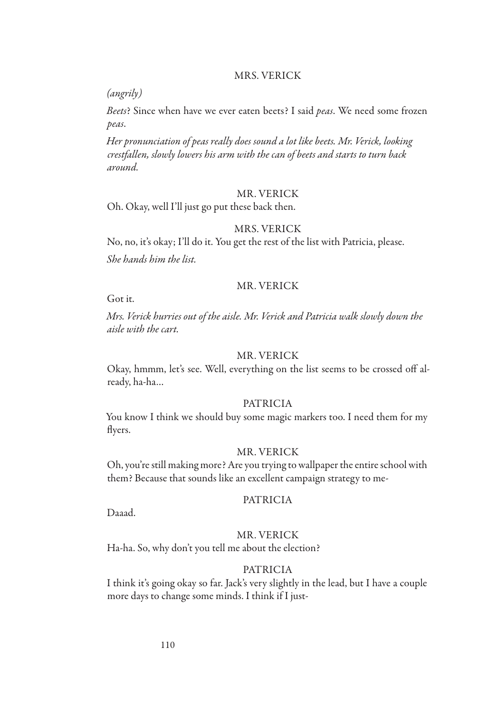#### MRS. VERICK

*(angrily)*

*Beets*? Since when have we ever eaten beets? I said *peas*. We need some frozen *peas*.

*Her pronunciation of peas really does sound a lot like beets. Mr. Verick, looking crestfallen, slowly lowers his arm with the can of beets and starts to turn back around.*

#### MR. VERICK

Oh. Okay, well I'll just go put these back then.

## MRS. VERICK

No, no, it's okay; I'll do it. You get the rest of the list with Patricia, please. *She hands him the list.*

#### MR. VERICK

Got it.

*Mrs. Verick hurries out of the aisle. Mr. Verick and Patricia walk slowly down the aisle with the cart.*

## MR. VERICK

Okay, hmmm, let's see. Well, everything on the list seems to be crossed off already, ha-ha…

#### PATRICIA

You know I think we should buy some magic markers too. I need them for my flyers.

#### MR. VERICK

Oh, you're still making more? Are you trying to wallpaper the entire school with them? Because that sounds like an excellent campaign strategy to me-

#### PATRICIA

Daaad.

## MR. VERICK

Ha-ha. So, why don't you tell me about the election?

#### PATRICIA

I think it's going okay so far. Jack's very slightly in the lead, but I have a couple more days to change some minds. I think if I just-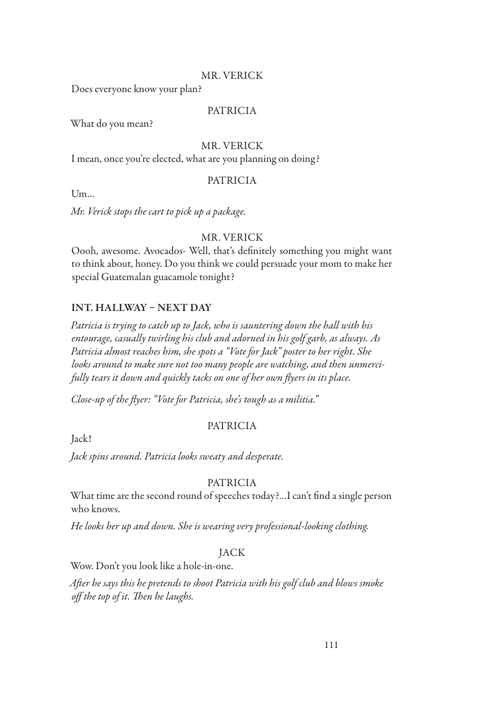## MR. VERICK

Does everyone know your plan?

#### PATRICIA

What do you mean?

#### MR. VERICK

I mean, once you're elected, what are you planning on doing?

## PATRICIA

Um…

*Mr. Verick stops the cart to pick up a package.*

## MR. VERICK

Oooh, awesome. Avocados- Well, that's definitely something you might want to think about, honey. Do you think we could persuade your mom to make her special Guatemalan guacamole tonight?

## INT. HALLWAY – NEXT DAY

*Patricia is trying to catch up to Jack, who is sauntering down the hall with his entourage, casually twirling his club and adorned in his golf garb, as always. As Patricia almost reaches him, she spots a "Vote for Jack" poster to her right. She looks around to make sure not too many people are watching, and then unmercifully tears it down and quickly tacks on one of her own flyers in its place.*

*Close-up of the flyer: "Vote for Patricia, she's tough as a militia."*

Jack!

## PATRICIA

*Jack spins around. Patricia looks sweaty and desperate.*

## PATRICIA

What time are the second round of speeches today?…I can't find a single person who knows.

*He looks her up and down. She is wearing very professional-looking clothing.*

#### JACK

Wow. Don't you look like a hole-in-one.

*After he says this he pretends to shoot Patricia with his golf club and blows smoke off the top of it. Then he laughs.*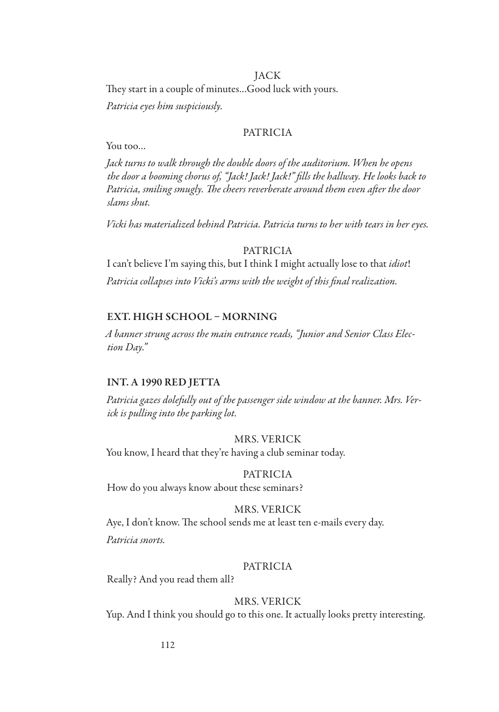#### JACK

They start in a couple of minutes…Good luck with yours.

*Patricia eyes him suspiciously.*

## PATRICIA

You too…

*Jack turns to walk through the double doors of the auditorium. When he opens the door a booming chorus of, "Jack! Jack! Jack!" fills the hallway. He looks back to Patricia, smiling smugly. The cheers reverberate around them even after the door slams shut.*

*Vicki has materialized behind Patricia. Patricia turns to her with tears in her eyes.*

## PATRICIA

I can't believe I'm saying this, but I think I might actually lose to that *idiot*! *Patricia collapses into Vicki's arms with the weight of this final realization.*

#### EXT. HIGH SCHOOL – MORNING

*A banner strung across the main entrance reads, "Junior and Senior Class Election Day."*

#### INT. A 1990 RED JETTA

*Patricia gazes dolefully out of the passenger side window at the banner. Mrs. Verick is pulling into the parking lot.*

#### MRS. VERICK

You know, I heard that they're having a club seminar today.

#### PATRICIA

How do you always know about these seminars?

#### MRS. VERICK

Aye, I don't know. The school sends me at least ten e-mails every day.

*Patricia snorts.*

#### PATRICIA

Really? And you read them all?

## MRS. VERICK

Yup. And I think you should go to this one. It actually looks pretty interesting.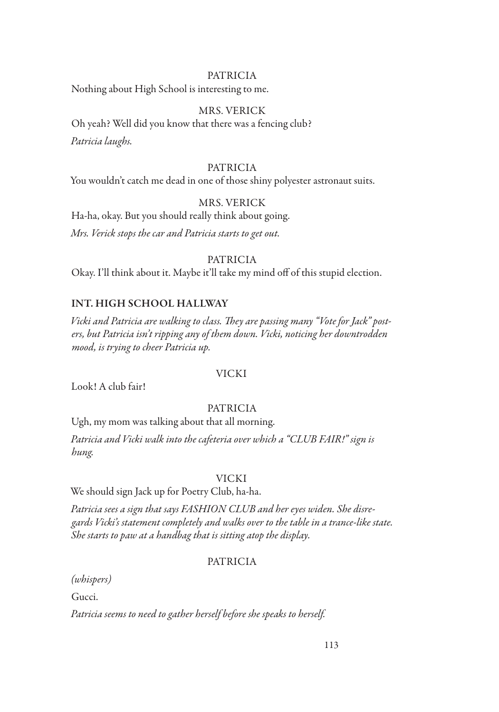Nothing about High School is interesting to me.

## MRS. VERICK

Oh yeah? Well did you know that there was a fencing club? *Patricia laughs.*

## PATRICIA

You wouldn't catch me dead in one of those shiny polyester astronaut suits.

## MRS. VERICK

Ha-ha, okay. But you should really think about going.

*Mrs. Verick stops the car and Patricia starts to get out.*

## PATRICIA

Okay. I'll think about it. Maybe it'll take my mind off of this stupid election.

## INT. HIGH SCHOOL HALLWAY

*Vicki and Patricia are walking to class. They are passing many "Vote for Jack" posters, but Patricia isn't ripping any of them down. Vicki, noticing her downtrodden mood, is trying to cheer Patricia up.*

#### VICKI

Look! A club fair!

## PATRICIA

Ugh, my mom was talking about that all morning.

*Patricia and Vicki walk into the cafeteria over which a "CLUB FAIR!" sign is hung.*

## VICKI

We should sign Jack up for Poetry Club, ha-ha.

*Patricia sees a sign that says FASHION CLUB and her eyes widen. She disregards Vicki's statement completely and walks over to the table in a trance-like state. She starts to paw at a handbag that is sitting atop the display.*

## PATRICIA

*(whispers)*

Gucci.

*Patricia seems to need to gather herself before she speaks to herself.*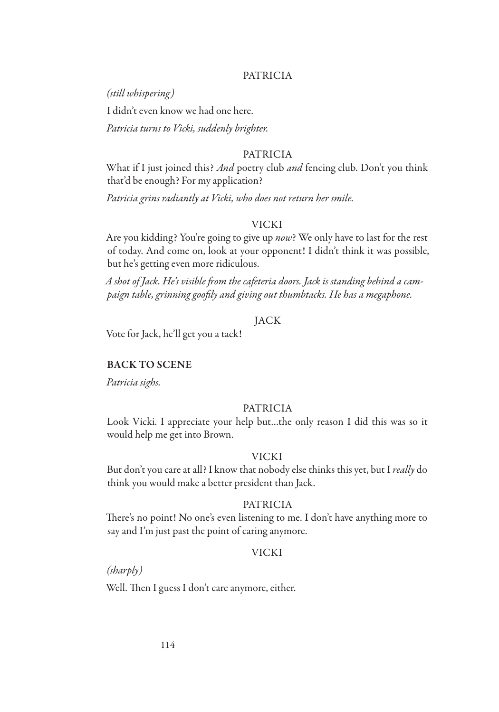*(still whispering)*

I didn't even know we had one here.

*Patricia turns to Vicki, suddenly brighter.*

#### PATRICIA

What if I just joined this? *And* poetry club *and* fencing club. Don't you think that'd be enough? For my application?

*Patricia grins radiantly at Vicki, who does not return her smile.*

#### VICKI

Are you kidding? You're going to give up *now*? We only have to last for the rest of today. And come on, look at your opponent! I didn't think it was possible, but he's getting even more ridiculous.

*A shot of Jack. He's visible from the cafeteria doors. Jack is standing behind a campaign table, grinning goofily and giving out thumbtacks. He has a megaphone.*

## JACK

Vote for Jack, he'll get you a tack!

#### BACK TO SCENE

*Patricia sighs.*

#### PATRICIA

Look Vicki. I appreciate your help but…the only reason I did this was so it would help me get into Brown.

#### VICKI

But don't you care at all? I know that nobody else thinks this yet, but I *really* do think you would make a better president than Jack.

#### PATRICIA

There's no point! No one's even listening to me. I don't have anything more to say and I'm just past the point of caring anymore.

#### VICKI

*(sharply)*

Well. Then I guess I don't care anymore, either.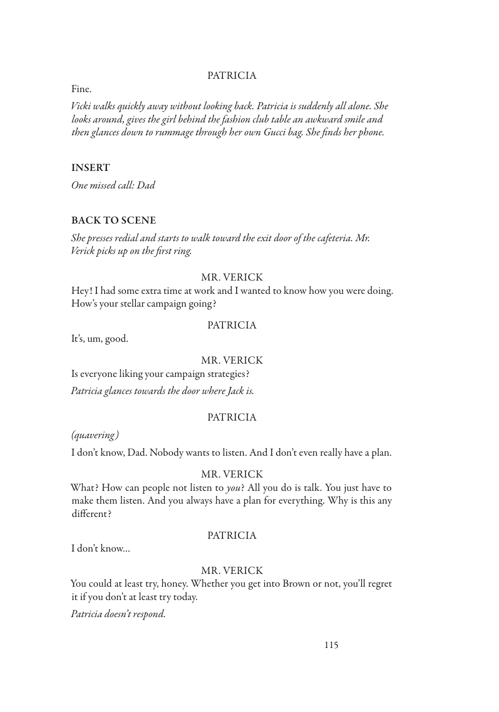Fine.

*Vicki walks quickly away without looking back. Patricia is suddenly all alone. She looks around, gives the girl behind the fashion club table an awkward smile and then glances down to rummage through her own Gucci bag. She finds her phone.*

## INSERT

*One missed call: Dad*

#### BACK TO SCENE

*She presses redial and starts to walk toward the exit door of the cafeteria. Mr. Verick picks up on the first ring.*

#### MR. VERICK

Hey! I had some extra time at work and I wanted to know how you were doing. How's your stellar campaign going?

#### PATRICIA

It's, um, good.

#### MR. VERICK

Is everyone liking your campaign strategies?

*Patricia glances towards the door where Jack is.*

## PATRICIA

*(quavering)*

I don't know, Dad. Nobody wants to listen. And I don't even really have a plan.

#### MR. VERICK

What? How can people not listen to *you*? All you do is talk. You just have to make them listen. And you always have a plan for everything. Why is this any different?

#### PATRICIA

I don't know…

#### MR. VERICK

You could at least try, honey. Whether you get into Brown or not, you'll regret it if you don't at least try today.

*Patricia doesn't respond.*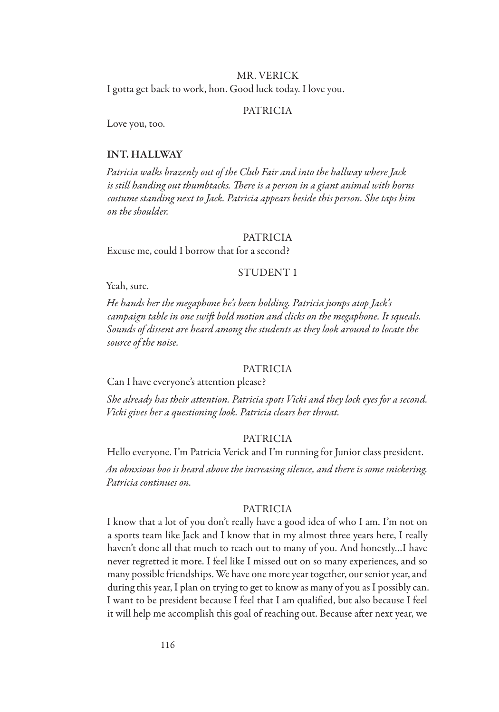#### MR. VERICK

I gotta get back to work, hon. Good luck today. I love you.

#### PATRICIA

Love you, too.

#### INT. HALLWAY

*Patricia walks brazenly out of the Club Fair and into the hallway where Jack is still handing out thumbtacks. There is a person in a giant animal with horns costume standing next to Jack. Patricia appears beside this person. She taps him on the shoulder.*

#### PATRICIA

Excuse me, could I borrow that for a second?

#### STUDENT 1

Yeah, sure.

*He hands her the megaphone he's been holding. Patricia jumps atop Jack's campaign table in one swift bold motion and clicks on the megaphone. It squeals. Sounds of dissent are heard among the students as they look around to locate the source of the noise.*

#### PATRICIA

Can I have everyone's attention please?

*She already has their attention. Patricia spots Vicki and they lock eyes for a second. Vicki gives her a questioning look. Patricia clears her throat.*

#### PATRICIA

Hello everyone. I'm Patricia Verick and I'm running for Junior class president.

*An obnxious boo is heard above the increasing silence, and there is some snickering. Patricia continues on.*

#### PATRICIA

I know that a lot of you don't really have a good idea of who I am. I'm not on a sports team like Jack and I know that in my almost three years here, I really haven't done all that much to reach out to many of you. And honestly…I have never regretted it more. I feel like I missed out on so many experiences, and so many possible friendships. We have one more year together, our senior year, and during this year, I plan on trying to get to know as many of you as I possibly can. I want to be president because I feel that I am qualified, but also because I feel it will help me accomplish this goal of reaching out. Because after next year, we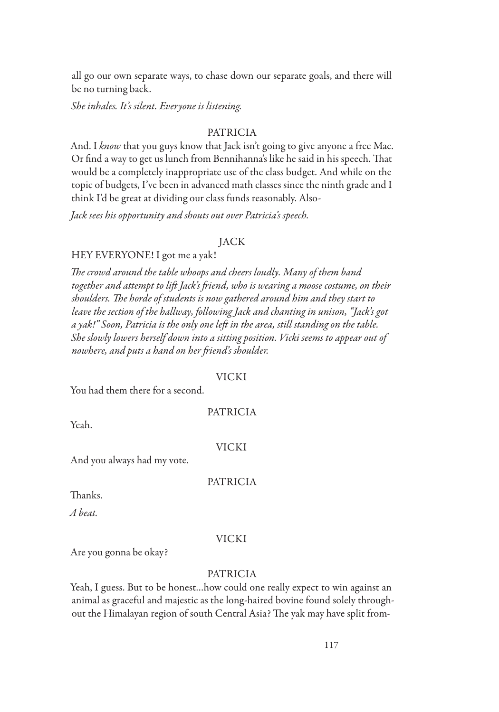all go our own separate ways, to chase down our separate goals, and there will be no turning back.

*She inhales. It's silent. Everyone is listening.*

## PATRICIA

And. I *know* that you guys know that Jack isn't going to give anyone a free Mac. Or find a way to get us lunch from Bennihanna's like he said in his speech. That would be a completely inappropriate use of the class budget. And while on the topic of budgets, I've been in advanced math classes since the ninth grade and I think I'd be great at dividing our class funds reasonably. Also-

*Jack sees his opportunity and shouts out over Patricia's speech.*

#### JACK

#### HEY EVERYONE! I got me a yak!

*The crowd around the table whoops and cheers loudly. Many of them band together and attempt to lift Jack's friend, who is wearing a moose costume, on their shoulders. The horde of students is now gathered around him and they start to leave the section of the hallway, following Jack and chanting in unison, "Jack's got a yak!" Soon, Patricia is the only one left in the area, still standing on the table. She slowly lowers herself down into a sitting position. Vicki seems to appear out of nowhere, and puts a hand on her friend's shoulder.*

#### VICKI

You had them there for a second.

#### PATRICIA

Yeah.

#### VICKI

And you always had my vote.

#### PATRICIA

Thanks.

*A beat.*

#### VICKI

Are you gonna be okay?

## PATRICIA

Yeah, I guess. But to be honest…how could one really expect to win against an animal as graceful and majestic as the long-haired bovine found solely throughout the Himalayan region of south Central Asia? The yak may have split from-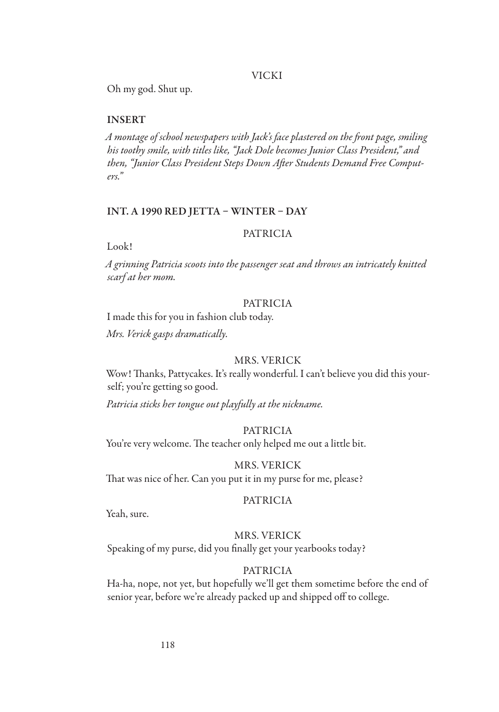#### VICKI

Oh my god. Shut up.

#### INSERT

*A montage of school newspapers with Jack's face plastered on the front page, smiling his toothy smile, with titles like, "Jack Dole becomes Junior Class President," and then, "Junior Class President Steps Down After Students Demand Free Computers."*

#### INT. A 1990 RED JETTA – WINTER – DAY

#### PATRICIA

Look!

*A grinning Patricia scoots into the passenger seat and throws an intricately knitted scarf at her mom.*

#### PATRICIA

I made this for you in fashion club today.

*Mrs. Verick gasps dramatically.*

#### MRS. VERICK

Wow! Thanks, Pattycakes. It's really wonderful. I can't believe you did this yourself; you're getting so good.

*Patricia sticks her tongue out playfully at the nickname.*

#### PATRICIA

You're very welcome. The teacher only helped me out a little bit.

MRS. VERICK That was nice of her. Can you put it in my purse for me, please?

#### PATRICIA

Yeah, sure.

#### MRS. VERICK

Speaking of my purse, did you finally get your yearbooks today?

#### PATRICIA

Ha-ha, nope, not yet, but hopefully we'll get them sometime before the end of senior year, before we're already packed up and shipped off to college.